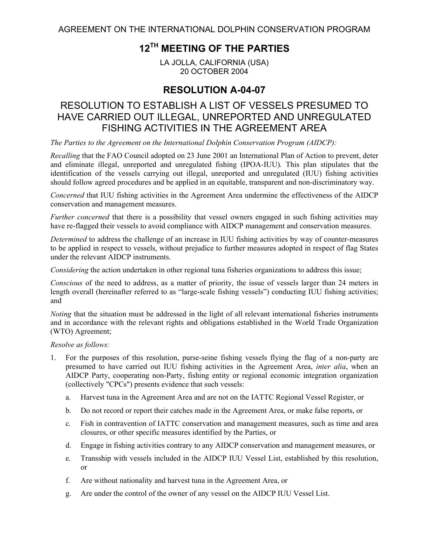AGREEMENT ON THE INTERNATIONAL DOLPHIN CONSERVATION PROGRAM

## **12TH MEETING OF THE PARTIES**

LA JOLLA, CALIFORNIA (USA) 20 OCTOBER 2004

## **RESOLUTION A-04-07**

## RESOLUTION TO ESTABLISH A LIST OF VESSELS PRESUMED TO HAVE CARRIED OUT ILLEGAL, UNREPORTED AND UNREGULATED FISHING ACTIVITIES IN THE AGREEMENT AREA

*The Parties to the Agreement on the International Dolphin Conservation Program (AIDCP):* 

*Recalling* that the FAO Council adopted on 23 June 2001 an International Plan of Action to prevent, deter and eliminate illegal, unreported and unregulated fishing (IPOA-IUU). This plan stipulates that the identification of the vessels carrying out illegal, unreported and unregulated (IUU) fishing activities should follow agreed procedures and be applied in an equitable, transparent and non-discriminatory way.

*Concerned* that IUU fishing activities in the Agreement Area undermine the effectiveness of the AIDCP conservation and management measures.

*Further concerned* that there is a possibility that vessel owners engaged in such fishing activities may have re-flagged their vessels to avoid compliance with AIDCP management and conservation measures.

*Determined* to address the challenge of an increase in IUU fishing activities by way of counter-measures to be applied in respect to vessels, without prejudice to further measures adopted in respect of flag States under the relevant AIDCP instruments.

*Considering* the action undertaken in other regional tuna fisheries organizations to address this issue;

*Conscious* of the need to address, as a matter of priority, the issue of vessels larger than 24 meters in length overall (hereinafter referred to as "large-scale fishing vessels") conducting IUU fishing activities; and

*Noting* that the situation must be addressed in the light of all relevant international fisheries instruments and in accordance with the relevant rights and obligations established in the World Trade Organization (WTO) Agreement;

## *Resolve as follows:*

- 1. For the purposes of this resolution, purse-seine fishing vessels flying the flag of a non-party are presumed to have carried out IUU fishing activities in the Agreement Area, *inter alia*, when an AIDCP Party, cooperating non-Party, fishing entity or regional economic integration organization (collectively "CPCs") presents evidence that such vessels:
	- a. Harvest tuna in the Agreement Area and are not on the IATTC Regional Vessel Register, or
	- b. Do not record or report their catches made in the Agreement Area, or make false reports, or
	- c. Fish in contravention of IATTC conservation and management measures, such as time and area closures, or other specific measures identified by the Parties, or
	- d. Engage in fishing activities contrary to any AIDCP conservation and management measures, or
	- e. Transship with vessels included in the AIDCP IUU Vessel List, established by this resolution, or
	- f. Are without nationality and harvest tuna in the Agreement Area, or
	- g. Are under the control of the owner of any vessel on the AIDCP IUU Vessel List.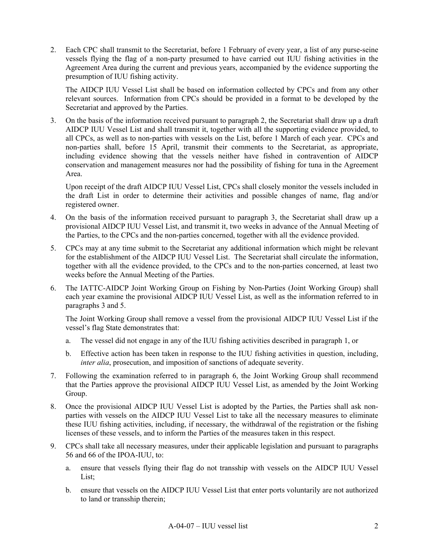2. Each CPC shall transmit to the Secretariat, before 1 February of every year, a list of any purse-seine vessels flying the flag of a non-party presumed to have carried out IUU fishing activities in the Agreement Area during the current and previous years, accompanied by the evidence supporting the presumption of IUU fishing activity.

The AIDCP IUU Vessel List shall be based on information collected by CPCs and from any other relevant sources. Information from CPCs should be provided in a format to be developed by the Secretariat and approved by the Parties.

3. On the basis of the information received pursuant to paragraph 2, the Secretariat shall draw up a draft AIDCP IUU Vessel List and shall transmit it, together with all the supporting evidence provided, to all CPCs, as well as to non-parties with vessels on the List, before 1 March of each year. CPCs and non-parties shall, before 15 April, transmit their comments to the Secretariat, as appropriate, including evidence showing that the vessels neither have fished in contravention of AIDCP conservation and management measures nor had the possibility of fishing for tuna in the Agreement Area.

Upon receipt of the draft AIDCP IUU Vessel List, CPCs shall closely monitor the vessels included in the draft List in order to determine their activities and possible changes of name, flag and/or registered owner.

- 4. On the basis of the information received pursuant to paragraph 3, the Secretariat shall draw up a provisional AIDCP IUU Vessel List, and transmit it, two weeks in advance of the Annual Meeting of the Parties, to the CPCs and the non-parties concerned, together with all the evidence provided.
- 5. CPCs may at any time submit to the Secretariat any additional information which might be relevant for the establishment of the AIDCP IUU Vessel List. The Secretariat shall circulate the information, together with all the evidence provided, to the CPCs and to the non-parties concerned, at least two weeks before the Annual Meeting of the Parties.
- 6. The IATTC-AIDCP Joint Working Group on Fishing by Non-Parties (Joint Working Group) shall each year examine the provisional AIDCP IUU Vessel List, as well as the information referred to in paragraphs 3 and 5.

The Joint Working Group shall remove a vessel from the provisional AIDCP IUU Vessel List if the vessel's flag State demonstrates that:

- a. The vessel did not engage in any of the IUU fishing activities described in paragraph 1, or
- b. Effective action has been taken in response to the IUU fishing activities in question, including, *inter alia*, prosecution, and imposition of sanctions of adequate severity.
- 7. Following the examination referred to in paragraph 6, the Joint Working Group shall recommend that the Parties approve the provisional AIDCP IUU Vessel List, as amended by the Joint Working Group.
- 8. Once the provisional AIDCP IUU Vessel List is adopted by the Parties, the Parties shall ask nonparties with vessels on the AIDCP IUU Vessel List to take all the necessary measures to eliminate these IUU fishing activities, including, if necessary, the withdrawal of the registration or the fishing licenses of these vessels, and to inform the Parties of the measures taken in this respect.
- 9. CPCs shall take all necessary measures, under their applicable legislation and pursuant to paragraphs 56 and 66 of the IPOA-IUU, to:
	- a. ensure that vessels flying their flag do not transship with vessels on the AIDCP IUU Vessel List;
	- b. ensure that vessels on the AIDCP IUU Vessel List that enter ports voluntarily are not authorized to land or transship therein;